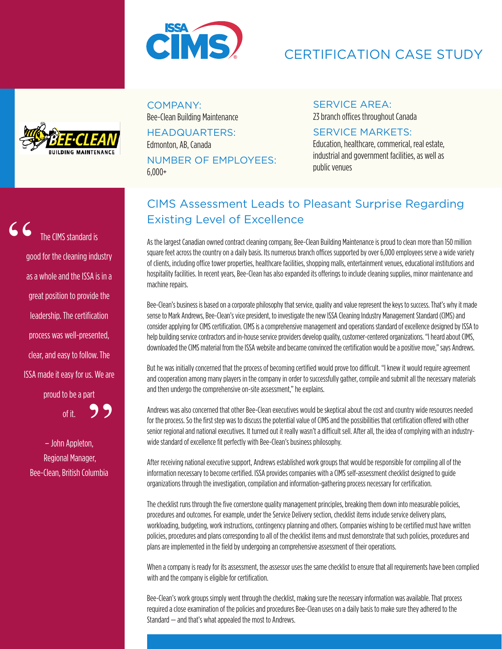

# CERTIFICATION CASE STUDY



#### COMPANY: Bee-Clean Building Maintenance

HEADQUARTERS: Edmonton, AB, Canada NUMBER OF EMPLOYEES: 6,000+

## SERVICE AREA:

23 branch offices throughout Canada

#### SERVICE MARKETS:

Education, healthcare, commerical, real estate, industrial and government facilities, as well as public venues

The CIMS standard is good for the cleaning industry as a whole and the ISSA is in a great position to provide the leadership. The certification process was well-presented, clear, and easy to follow. The ISSA made it easy for us. We are proud to be a part of it. 99 "

> – John Appleton, Regional Manager, Bee-Clean, British Columbia

## CIMS Assessment Leads to Pleasant Surprise Regarding Existing Level of Excellence

As the largest Canadian owned contract cleaning company, Bee-Clean Building Maintenance is proud to clean more than 150 million square feet across the country on a daily basis. Its numerous branch offices supported by over 6,000 employees serve a wide variety of clients, including office tower properties, healthcare facilities, shopping malls, entertainment venues, educational institutions and hospitality facilities. In recent years, Bee-Clean has also expanded its offerings to include cleaning supplies, minor maintenance and machine repairs.

Bee-Clean's business is based on a corporate philosophy that service, quality and value represent the keys to success. That's why it made sense to Mark Andrews, Bee-Clean's vice president, to investigate the new ISSA Cleaning Industry Management Standard (CIMS) and consider applying for CIMS certification. CIMS is a comprehensive management and operations standard of excellence designed by ISSA to help building service contractors and in-house service providers develop quality, customer-centered organizations. "I heard about CIMS, downloaded the CIMS material from the ISSA website and became convinced the certification would be a positive move," says Andrews.

But he was initially concerned that the process of becoming certified would prove too difficult. "I knew it would require agreement and cooperation among many players in the company in order to successfully gather, compile and submit all the necessary materials and then undergo the comprehensive on-site assessment." he explains.

Andrews was also concerned that other Bee-Clean executives would be skeptical about the cost and country wide resources needed for the process. So the first step was to discuss the potential value of CIMS and the possibilities that certification offered with other senior regional and national executives. It turned out it really wasn't a difficult sell. After all, the idea of complying with an industrywide standard of excellence fit perfectly with Bee-Clean's business philosophy.

After receiving national executive support, Andrews established work groups that would be responsible for compiling all of the information necessary to become certified. ISSA provides companies with a CIMS self-assessment checklist designed to guide organizations through the investigation, compilation and information-gathering process necessary for certification.

The checklist runs through the five cornerstone quality management principles, breaking them down into measurable policies, procedures and outcomes. For example, under the Service Delivery section, checklist items include service delivery plans, workloading, budgeting, work instructions, contingency planning and others. Companies wishing to be certified must have written policies, procedures and plans corresponding to all of the checklist items and must demonstrate that such policies, procedures and plans are implemented in the field by undergoing an comprehensive assessment of their operations.

When a company is ready for its assessment, the assessor uses the same checklist to ensure that all requirements have been complied with and the company is eligible for certification.

Bee-Clean's work groups simply went through the checklist, making sure the necessary information was available. That process required a close examination of the policies and procedures Bee-Clean uses on a daily basis to make sure they adhered to the Standard — and that's what appealed the most to Andrews.